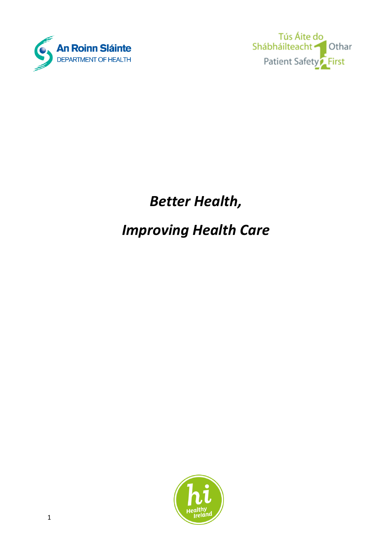

Tús Áite do Shábháilteacht Othar Patient Safety<sup>2</sup> First

# *Better Health,*

## *Improving Health Care*

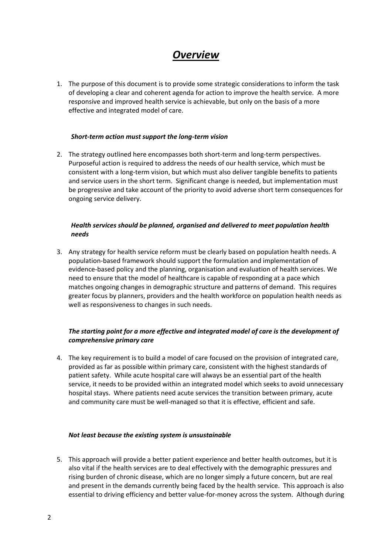## *Overview*

1. The purpose of this document is to provide some strategic considerations to inform the task of developing a clear and coherent agenda for action to improve the health service. A more responsive and improved health service is achievable, but only on the basis of a more effective and integrated model of care.

#### *Short-term action must support the long-term vision*

2. The strategy outlined here encompasses both short-term and long-term perspectives. Purposeful action is required to address the needs of our health service, which must be consistent with a long-term vision, but which must also deliver tangible benefits to patients and service users in the short term. Significant change is needed, but implementation must be progressive and take account of the priority to avoid adverse short term consequences for ongoing service delivery.

#### *Health services should be planned, organised and delivered to meet population health needs*

3. Any strategy for health service reform must be clearly based on population health needs. A population-based framework should support the formulation and implementation of evidence-based policy and the planning, organisation and evaluation of health services. We need to ensure that the model of healthcare is capable of responding at a pace which matches ongoing changes in demographic structure and patterns of demand. This requires greater focus by planners, providers and the health workforce on population health needs as well as responsiveness to changes in such needs.

#### *The starting point for a more effective and integrated model of care is the development of comprehensive primary care*

4. The key requirement is to build a model of care focused on the provision of integrated care, provided as far as possible within primary care, consistent with the highest standards of patient safety. While acute hospital care will always be an essential part of the health service, it needs to be provided within an integrated model which seeks to avoid unnecessary hospital stays. Where patients need acute services the transition between primary, acute and community care must be well-managed so that it is effective, efficient and safe.

#### *Not least because the existing system is unsustainable*

5. This approach will provide a better patient experience and better health outcomes, but it is also vital if the health services are to deal effectively with the demographic pressures and rising burden of chronic disease, which are no longer simply a future concern, but are real and present in the demands currently being faced by the health service. This approach is also essential to driving efficiency and better value-for-money across the system. Although during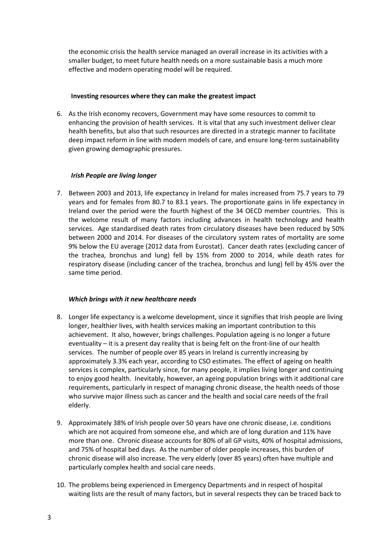the economic crisis the health service managed an overall increase in its activities with a smaller budget, to meet future health needs on a more sustainable basis a much more effective and modern operating model will be required.

#### **Investing resources where they can make the greatest impact**

6. As the Irish economy recovers, Government may have some resources to commit to enhancing the provision of health services. It is vital that any such investment deliver clear health benefits, but also that such resources are directed in a strategic manner to facilitate deep impact reform in line with modern models of care, and ensure long-term sustainability given growing demographic pressures.

#### *Irish People are living longer*

7. Between 2003 and 2013, life expectancy in Ireland for males increased from 75.7 years to 79 years and for females from 80.7 to 83.1 years. The proportionate gains in life expectancy in Ireland over the period were the fourth highest of the 34 OECD member countries. This is the welcome result of many factors including advances in health technology and health services. Age standardised death rates from circulatory diseases have been reduced by 50% between 2000 and 2014. For diseases of the circulatory system rates of mortality are some 9% below the EU average (2012 data from Eurostat). Cancer death rates (excluding cancer of the trachea, bronchus and lung) fell by 15% from 2000 to 2014, while death rates for respiratory disease (including cancer of the trachea, bronchus and lung) fell by 45% over the same time period.

#### *Which brings with it new healthcare needs*

- 8. Longer life expectancy is a welcome development, since it signifies that Irish people are living longer, healthier lives, with health services making an important contribution to this achievement. It also, however, brings challenges. Population ageing is no longer a future eventuality – it is a present day reality that is being felt on the front-line of our health services. The number of people over 85 years in Ireland is currently increasing by approximately 3.3% each year, according to CSO estimates. The effect of ageing on health services is complex, particularly since, for many people, it implies living longer and continuing to enjoy good health. Inevitably, however, an ageing population brings with it additional care requirements, particularly in respect of managing chronic disease, the health needs of those who survive major illness such as cancer and the health and social care needs of the frail elderly.
- 9. Approximately 38% of Irish people over 50 years have one chronic disease, i.e. conditions which are not acquired from someone else, and which are of long duration and 11% have more than one. Chronic disease accounts for 80% of all GP visits, 40% of hospital admissions, and 75% of hospital bed days. As the number of older people increases, this burden of chronic disease will also increase. The very elderly (over 85 years) often have multiple and particularly complex health and social care needs.
- 10. The problems being experienced in Emergency Departments and in respect of hospital waiting lists are the result of many factors, but in several respects they can be traced back to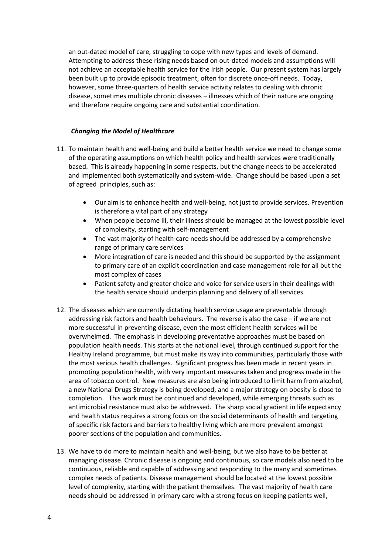an out-dated model of care, struggling to cope with new types and levels of demand. Attempting to address these rising needs based on out-dated models and assumptions will not achieve an acceptable health service for the Irish people. Our present system has largely been built up to provide episodic treatment, often for discrete once-off needs. Today, however, some three-quarters of health service activity relates to dealing with chronic disease, sometimes multiple chronic diseases – illnesses which of their nature are ongoing and therefore require ongoing care and substantial coordination.

#### *Changing the Model of Healthcare*

- 11. To maintain health and well-being and build a better health service we need to change some of the operating assumptions on which health policy and health services were traditionally based. This is already happening in some respects, but the change needs to be accelerated and implemented both systematically and system-wide. Change should be based upon a set of agreed principles, such as:
	- Our aim is to enhance health and well-being, not just to provide services. Prevention is therefore a vital part of any strategy
	- When people become ill, their illness should be managed at the lowest possible level of complexity, starting with self-management
	- The vast majority of health-care needs should be addressed by a comprehensive range of primary care services
	- More integration of care is needed and this should be supported by the assignment to primary care of an explicit coordination and case management role for all but the most complex of cases
	- Patient safety and greater choice and voice for service users in their dealings with the health service should underpin planning and delivery of all services.
- 12. The diseases which are currently dictating health service usage are preventable through addressing risk factors and health behaviours. The reverse is also the case – if we are not more successful in preventing disease, even the most efficient health services will be overwhelmed. The emphasis in developing preventative approaches must be based on population health needs. This starts at the national level, through continued support for the Healthy Ireland programme, but must make its way into communities, particularly those with the most serious health challenges. Significant progress has been made in recent years in promoting population health, with very important measures taken and progress made in the area of tobacco control. New measures are also being introduced to limit harm from alcohol, a new National Drugs Strategy is being developed, and a major strategy on obesity is close to completion. This work must be continued and developed, while emerging threats such as antimicrobial resistance must also be addressed. The sharp social gradient in life expectancy and health status requires a strong focus on the social determinants of health and targeting of specific risk factors and barriers to healthy living which are more prevalent amongst poorer sections of the population and communities.
- 13. We have to do more to maintain health and well-being, but we also have to be better at managing disease. Chronic disease is ongoing and continuous, so care models also need to be continuous, reliable and capable of addressing and responding to the many and sometimes complex needs of patients. Disease management should be located at the lowest possible level of complexity, starting with the patient themselves. The vast majority of health care needs should be addressed in primary care with a strong focus on keeping patients well,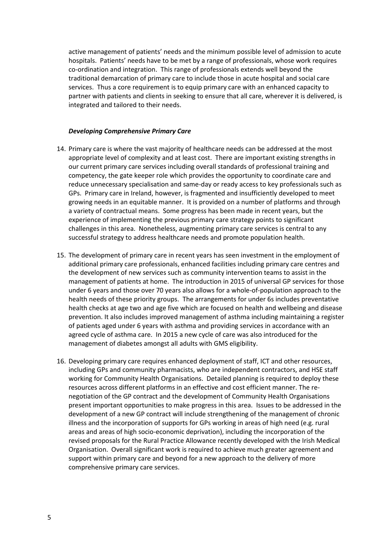active management of patients' needs and the minimum possible level of admission to acute hospitals. Patients' needs have to be met by a range of professionals, whose work requires co-ordination and integration. This range of professionals extends well beyond the traditional demarcation of primary care to include those in acute hospital and social care services. Thus a core requirement is to equip primary care with an enhanced capacity to partner with patients and clients in seeking to ensure that all care, wherever it is delivered, is integrated and tailored to their needs.

#### *Developing Comprehensive Primary Care*

- 14. Primary care is where the vast majority of healthcare needs can be addressed at the most appropriate level of complexity and at least cost. There are important existing strengths in our current primary care services including overall standards of professional training and competency, the gate keeper role which provides the opportunity to coordinate care and reduce unnecessary specialisation and same-day or ready access to key professionals such as GPs. Primary care in Ireland, however, is fragmented and insufficiently developed to meet growing needs in an equitable manner. It is provided on a number of platforms and through a variety of contractual means. Some progress has been made in recent years, but the experience of implementing the previous primary care strategy points to significant challenges in this area. Nonetheless, augmenting primary care services is central to any successful strategy to address healthcare needs and promote population health.
- 15. The development of primary care in recent years has seen investment in the employment of additional primary care professionals, enhanced facilities including primary care centres and the development of new services such as community intervention teams to assist in the management of patients at home. The introduction in 2015 of universal GP services for those under 6 years and those over 70 years also allows for a whole-of-population approach to the health needs of these priority groups. The arrangements for under 6s includes preventative health checks at age two and age five which are focused on health and wellbeing and disease prevention. It also includes improved management of asthma including maintaining a register of patients aged under 6 years with asthma and providing services in accordance with an agreed cycle of asthma care. In 2015 a new cycle of care was also introduced for the management of diabetes amongst all adults with GMS eligibility.
- 16. Developing primary care requires enhanced deployment of staff, ICT and other resources, including GPs and community pharmacists, who are independent contractors, and HSE staff working for Community Health Organisations. Detailed planning is required to deploy these resources across different platforms in an effective and cost efficient manner. The renegotiation of the GP contract and the development of Community Health Organisations present important opportunities to make progress in this area. Issues to be addressed in the development of a new GP contract will include strengthening of the management of chronic illness and the incorporation of supports for GPs working in areas of high need (e.g. rural areas and areas of high socio-economic deprivation), including the incorporation of the revised proposals for the Rural Practice Allowance recently developed with the Irish Medical Organisation. Overall significant work is required to achieve much greater agreement and support within primary care and beyond for a new approach to the delivery of more comprehensive primary care services.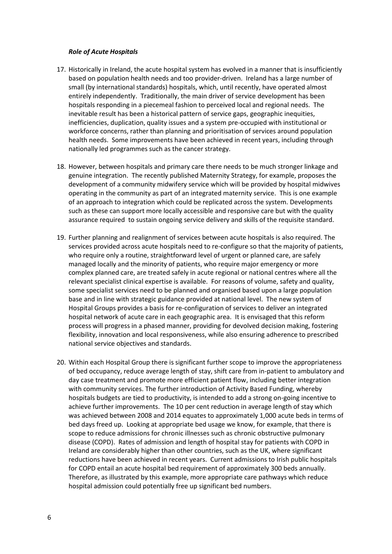#### *Role of Acute Hospitals*

- 17. Historically in Ireland, the acute hospital system has evolved in a manner that is insufficiently based on population health needs and too provider-driven. Ireland has a large number of small (by international standards) hospitals, which, until recently, have operated almost entirely independently. Traditionally, the main driver of service development has been hospitals responding in a piecemeal fashion to perceived local and regional needs. The inevitable result has been a historical pattern of service gaps, geographic inequities, inefficiencies, duplication, quality issues and a system pre-occupied with institutional or workforce concerns, rather than planning and prioritisation of services around population health needs. Some improvements have been achieved in recent years, including through nationally led programmes such as the cancer strategy.
- 18. However, between hospitals and primary care there needs to be much stronger linkage and genuine integration. The recently published Maternity Strategy, for example, proposes the development of a community midwifery service which will be provided by hospital midwives operating in the community as part of an integrated maternity service. This is one example of an approach to integration which could be replicated across the system. Developments such as these can support more locally accessible and responsive care but with the quality assurance required to sustain ongoing service delivery and skills of the requisite standard.
- 19. Further planning and realignment of services between acute hospitals is also required. The services provided across acute hospitals need to re-configure so that the majority of patients, who require only a routine, straightforward level of urgent or planned care, are safely managed locally and the minority of patients, who require major emergency or more complex planned care, are treated safely in acute regional or national centres where all the relevant specialist clinical expertise is available. For reasons of volume, safety and quality, some specialist services need to be planned and organised based upon a large population base and in line with strategic guidance provided at national level. The new system of Hospital Groups provides a basis for re-configuration of services to deliver an integrated hospital network of acute care in each geographic area. It is envisaged that this reform process will progress in a phased manner, providing for devolved decision making, fostering flexibility, innovation and local responsiveness, while also ensuring adherence to prescribed national service objectives and standards.
- 20. Within each Hospital Group there is significant further scope to improve the appropriateness of bed occupancy, reduce average length of stay, shift care from in-patient to ambulatory and day case treatment and promote more efficient patient flow, including better integration with community services. The further introduction of Activity Based Funding, whereby hospitals budgets are tied to productivity, is intended to add a strong on-going incentive to achieve further improvements. The 10 per cent reduction in average length of stay which was achieved between 2008 and 2014 equates to approximately 1,000 acute beds in terms of bed days freed up. Looking at appropriate bed usage we know, for example, that there is scope to reduce admissions for chronic illnesses such as chronic obstructive pulmonary disease (COPD). Rates of admission and length of hospital stay for patients with COPD in Ireland are considerably higher than other countries, such as the UK, where significant reductions have been achieved in recent years. Current admissions to Irish public hospitals for COPD entail an acute hospital bed requirement of approximately 300 beds annually. Therefore, as illustrated by this example, more appropriate care pathways which reduce hospital admission could potentially free up significant bed numbers.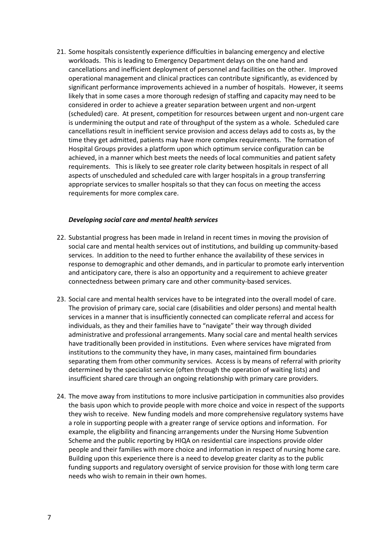21. Some hospitals consistently experience difficulties in balancing emergency and elective workloads. This is leading to Emergency Department delays on the one hand and cancellations and inefficient deployment of personnel and facilities on the other. Improved operational management and clinical practices can contribute significantly, as evidenced by significant performance improvements achieved in a number of hospitals. However, it seems likely that in some cases a more thorough redesign of staffing and capacity may need to be considered in order to achieve a greater separation between urgent and non-urgent (scheduled) care. At present, competition for resources between urgent and non-urgent care is undermining the output and rate of throughput of the system as a whole. Scheduled care cancellations result in inefficient service provision and access delays add to costs as, by the time they get admitted, patients may have more complex requirements. The formation of Hospital Groups provides a platform upon which optimum service configuration can be achieved, in a manner which best meets the needs of local communities and patient safety requirements. This is likely to see greater role clarity between hospitals in respect of all aspects of unscheduled and scheduled care with larger hospitals in a group transferring appropriate services to smaller hospitals so that they can focus on meeting the access requirements for more complex care.

#### *Developing social care and mental health services*

- 22. Substantial progress has been made in Ireland in recent times in moving the provision of social care and mental health services out of institutions, and building up community-based services. In addition to the need to further enhance the availability of these services in response to demographic and other demands, and in particular to promote early intervention and anticipatory care, there is also an opportunity and a requirement to achieve greater connectedness between primary care and other community-based services.
- 23. Social care and mental health services have to be integrated into the overall model of care. The provision of primary care, social care (disabilities and older persons) and mental health services in a manner that is insufficiently connected can complicate referral and access for individuals, as they and their families have to "navigate" their way through divided administrative and professional arrangements. Many social care and mental health services have traditionally been provided in institutions. Even where services have migrated from institutions to the community they have, in many cases, maintained firm boundaries separating them from other community services. Access is by means of referral with priority determined by the specialist service (often through the operation of waiting lists) and insufficient shared care through an ongoing relationship with primary care providers.
- 24. The move away from institutions to more inclusive participation in communities also provides the basis upon which to provide people with more choice and voice in respect of the supports they wish to receive. New funding models and more comprehensive regulatory systems have a role in supporting people with a greater range of service options and information. For example, the eligibility and financing arrangements under the Nursing Home Subvention Scheme and the public reporting by HIQA on residential care inspections provide older people and their families with more choice and information in respect of nursing home care. Building upon this experience there is a need to develop greater clarity as to the public funding supports and regulatory oversight of service provision for those with long term care needs who wish to remain in their own homes.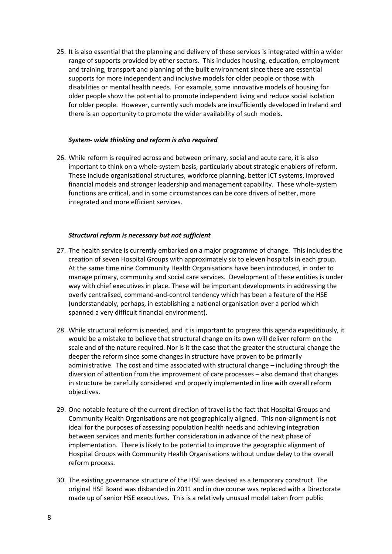25. It is also essential that the planning and delivery of these services is integrated within a wider range of supports provided by other sectors. This includes housing, education, employment and training, transport and planning of the built environment since these are essential supports for more independent and inclusive models for older people or those with disabilities or mental health needs. For example, some innovative models of housing for older people show the potential to promote independent living and reduce social isolation for older people. However, currently such models are insufficiently developed in Ireland and there is an opportunity to promote the wider availability of such models.

#### *System- wide thinking and reform is also required*

26. While reform is required across and between primary, social and acute care, it is also important to think on a whole-system basis, particularly about strategic enablers of reform. These include organisational structures, workforce planning, better ICT systems, improved financial models and stronger leadership and management capability. These whole-system functions are critical, and in some circumstances can be core drivers of better, more integrated and more efficient services.

#### *Structural reform is necessary but not sufficient*

- 27. The health service is currently embarked on a major programme of change. This includes the creation of seven Hospital Groups with approximately six to eleven hospitals in each group. At the same time nine Community Health Organisations have been introduced, in order to manage primary, community and social care services. Development of these entities is under way with chief executives in place. These will be important developments in addressing the overly centralised, command-and-control tendency which has been a feature of the HSE (understandably, perhaps, in establishing a national organisation over a period which spanned a very difficult financial environment).
- 28. While structural reform is needed, and it is important to progress this agenda expeditiously, it would be a mistake to believe that structural change on its own will deliver reform on the scale and of the nature required. Nor is it the case that the greater the structural change the deeper the reform since some changes in structure have proven to be primarily administrative. The cost and time associated with structural change – including through the diversion of attention from the improvement of care processes – also demand that changes in structure be carefully considered and properly implemented in line with overall reform objectives.
- 29. One notable feature of the current direction of travel is the fact that Hospital Groups and Community Health Organisations are not geographically aligned. This non-alignment is not ideal for the purposes of assessing population health needs and achieving integration between services and merits further consideration in advance of the next phase of implementation. There is likely to be potential to improve the geographic alignment of Hospital Groups with Community Health Organisations without undue delay to the overall reform process.
- 30. The existing governance structure of the HSE was devised as a temporary construct. The original HSE Board was disbanded in 2011 and in due course was replaced with a Directorate made up of senior HSE executives. This is a relatively unusual model taken from public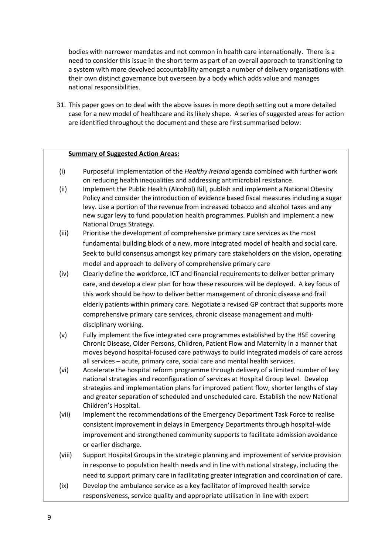bodies with narrower mandates and not common in health care internationally. There is a need to consider this issue in the short term as part of an overall approach to transitioning to a system with more devolved accountability amongst a number of delivery organisations with their own distinct governance but overseen by a body which adds value and manages national responsibilities.

31. This paper goes on to deal with the above issues in more depth setting out a more detailed case for a new model of healthcare and its likely shape. A series of suggested areas for action are identified throughout the document and these are first summarised below:

#### **Summary of Suggested Action Areas:**

- (i) Purposeful implementation of the *Healthy Ireland* agenda combined with further work on reducing health inequalities and addressing antimicrobial resistance.
- (ii) Implement the Public Health (Alcohol) Bill, publish and implement a National Obesity Policy and consider the introduction of evidence based fiscal measures including a sugar levy. Use a portion of the revenue from increased tobacco and alcohol taxes and any new sugar levy to fund population health programmes. Publish and implement a new National Drugs Strategy.
- (iii) Prioritise the development of comprehensive primary care services as the most fundamental building block of a new, more integrated model of health and social care. Seek to build consensus amongst key primary care stakeholders on the vision, operating model and approach to delivery of comprehensive primary care
- (iv) Clearly define the workforce, ICT and financial requirements to deliver better primary care, and develop a clear plan for how these resources will be deployed. A key focus of this work should be how to deliver better management of chronic disease and frail elderly patients within primary care. Negotiate a revised GP contract that supports more comprehensive primary care services, chronic disease management and multidisciplinary working.
- (v) Fully implement the five integrated care programmes established by the HSE covering Chronic Disease, Older Persons, Children, Patient Flow and Maternity in a manner that moves beyond hospital-focused care pathways to build integrated models of care across all services – acute, primary care, social care and mental health services.
- (vi) Accelerate the hospital reform programme through delivery of a limited number of key national strategies and reconfiguration of services at Hospital Group level. Develop strategies and implementation plans for improved patient flow, shorter lengths of stay and greater separation of scheduled and unscheduled care. Establish the new National Children's Hospital.
- (vii) Implement the recommendations of the Emergency Department Task Force to realise consistent improvement in delays in Emergency Departments through hospital-wide improvement and strengthened community supports to facilitate admission avoidance or earlier discharge.
- (viii) Support Hospital Groups in the strategic planning and improvement of service provision in response to population health needs and in line with national strategy, including the need to support primary care in facilitating greater integration and coordination of care.
- (ix) Develop the ambulance service as a key facilitator of improved health service responsiveness, service quality and appropriate utilisation in line with expert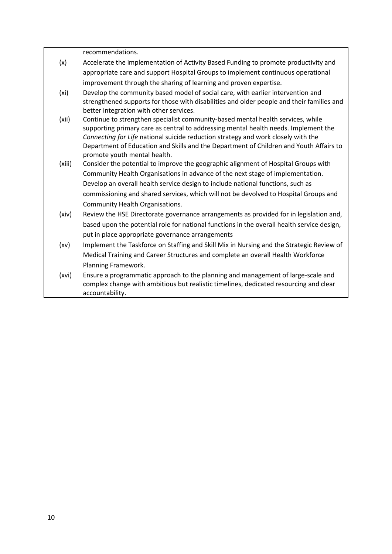|        | recommendations.                                                                                                                                                       |
|--------|------------------------------------------------------------------------------------------------------------------------------------------------------------------------|
| (x)    | Accelerate the implementation of Activity Based Funding to promote productivity and                                                                                    |
|        | appropriate care and support Hospital Groups to implement continuous operational                                                                                       |
|        | improvement through the sharing of learning and proven expertise.                                                                                                      |
| (xi)   | Develop the community based model of social care, with earlier intervention and                                                                                        |
|        | strengthened supports for those with disabilities and older people and their families and                                                                              |
|        | better integration with other services.                                                                                                                                |
| (xii)  | Continue to strengthen specialist community-based mental health services, while<br>supporting primary care as central to addressing mental health needs. Implement the |
|        | Connecting for Life national suicide reduction strategy and work closely with the                                                                                      |
|        | Department of Education and Skills and the Department of Children and Youth Affairs to                                                                                 |
|        | promote youth mental health.                                                                                                                                           |
| (xiii) | Consider the potential to improve the geographic alignment of Hospital Groups with                                                                                     |
|        | Community Health Organisations in advance of the next stage of implementation.                                                                                         |
|        | Develop an overall health service design to include national functions, such as                                                                                        |
|        | commissioning and shared services, which will not be devolved to Hospital Groups and                                                                                   |
|        | <b>Community Health Organisations.</b>                                                                                                                                 |
| (xiv)  | Review the HSE Directorate governance arrangements as provided for in legislation and,                                                                                 |
|        | based upon the potential role for national functions in the overall health service design,                                                                             |
|        | put in place appropriate governance arrangements                                                                                                                       |
| (xv)   | Implement the Taskforce on Staffing and Skill Mix in Nursing and the Strategic Review of                                                                               |
|        | Medical Training and Career Structures and complete an overall Health Workforce                                                                                        |
|        | Planning Framework.                                                                                                                                                    |
| (xvi)  | Ensure a programmatic approach to the planning and management of large-scale and                                                                                       |
|        | complex change with ambitious but realistic timelines, dedicated resourcing and clear                                                                                  |
|        | accountability.                                                                                                                                                        |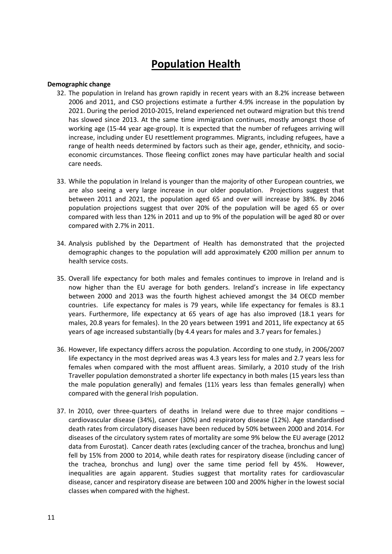## **Population Health**

#### **Demographic change**

- 32. The population in Ireland has grown rapidly in recent years with an 8.2% increase between 2006 and 2011, and CSO projections estimate a further 4.9% increase in the population by 2021. During the period 2010-2015, Ireland experienced net outward migration but this trend has slowed since 2013. At the same time immigration continues, mostly amongst those of working age (15-44 year age-group). It is expected that the number of refugees arriving will increase, including under EU resettlement programmes. Migrants, including refugees, have a range of health needs determined by factors such as their age, gender, ethnicity, and socioeconomic circumstances. Those fleeing conflict zones may have particular health and social care needs.
- 33. While the population in Ireland is younger than the majority of other European countries, we are also seeing a very large increase in our older population. Projections suggest that between 2011 and 2021, the population aged 65 and over will increase by 38%. By 2046 population projections suggest that over 20% of the population will be aged 65 or over compared with less than 12% in 2011 and up to 9% of the population will be aged 80 or over compared with 2.7% in 2011.
- 34. Analysis published by the Department of Health has demonstrated that the projected demographic changes to the population will add approximately €200 million per annum to health service costs.
- 35. Overall life expectancy for both males and females continues to improve in Ireland and is now higher than the EU average for both genders. Ireland's increase in life expectancy between 2000 and 2013 was the fourth highest achieved amongst the 34 OECD member countries. Life expectancy for males is 79 years, while life expectancy for females is 83.1 years. Furthermore, life expectancy at 65 years of age has also improved (18.1 years for males, 20.8 years for females). In the 20 years between 1991 and 2011, life expectancy at 65 years of age increased substantially (by 4.4 years for males and 3.7 years for females.)
- 36. However, life expectancy differs across the population. According to one study, in 2006/2007 life expectancy in the most deprived areas was 4.3 years less for males and 2.7 years less for females when compared with the most affluent areas. Similarly, a 2010 study of the Irish Traveller population demonstrated a shorter life expectancy in both males (15 years less than the male population generally) and females (11½ years less than females generally) when compared with the general Irish population.
- 37. In 2010, over three-quarters of deaths in Ireland were due to three major conditions cardiovascular disease (34%), cancer (30%) and respiratory disease (12%). Age standardised death rates from circulatory diseases have been reduced by 50% between 2000 and 2014. For diseases of the circulatory system rates of mortality are some 9% below the EU average (2012 data from Eurostat). Cancer death rates (excluding cancer of the trachea, bronchus and lung) fell by 15% from 2000 to 2014, while death rates for respiratory disease (including cancer of the trachea, bronchus and lung) over the same time period fell by 45%. However, inequalities are again apparent. Studies suggest that mortality rates for cardiovascular disease, cancer and respiratory disease are between 100 and 200% higher in the lowest social classes when compared with the highest.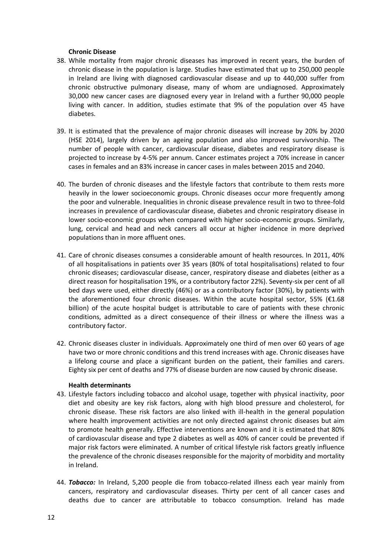#### **Chronic Disease**

- 38. While mortality from major chronic diseases has improved in recent years, the burden of chronic disease in the population is large. Studies have estimated that up to 250,000 people in Ireland are living with diagnosed cardiovascular disease and up to 440,000 suffer from chronic obstructive pulmonary disease, many of whom are undiagnosed. Approximately 30,000 new cancer cases are diagnosed every year in Ireland with a further 90,000 people living with cancer. In addition, studies estimate that 9% of the population over 45 have diabetes.
- 39. It is estimated that the prevalence of major chronic diseases will increase by 20% by 2020 (HSE 2014), largely driven by an ageing population and also improved survivorship. The number of people with cancer, cardiovascular disease, diabetes and respiratory disease is projected to increase by 4-5% per annum. Cancer estimates project a 70% increase in cancer cases in females and an 83% increase in cancer cases in males between 2015 and 2040.
- 40. The burden of chronic diseases and the lifestyle factors that contribute to them rests more heavily in the lower socioeconomic groups. Chronic diseases occur more frequently among the poor and vulnerable. Inequalities in chronic disease prevalence result in two to three-fold increases in prevalence of cardiovascular disease, diabetes and chronic respiratory disease in lower socio-economic groups when compared with higher socio-economic groups. Similarly, lung, cervical and head and neck cancers all occur at higher incidence in more deprived populations than in more affluent ones.
- 41. Care of chronic diseases consumes a considerable amount of health resources. In 2011, 40% of all hospitalisations in patients over 35 years (80% of total hospitalisations) related to four chronic diseases; cardiovascular disease, cancer, respiratory disease and diabetes (either as a direct reason for hospitalisation 19%, or a contributory factor 22%). Seventy-six per cent of all bed days were used, either directly (46%) or as a contributory factor (30%), by patients with the aforementioned four chronic diseases. Within the acute hospital sector, 55% ( $\epsilon$ 1.68 billion) of the acute hospital budget is attributable to care of patients with these chronic conditions, admitted as a direct consequence of their illness or where the illness was a contributory factor.
- 42. Chronic diseases cluster in individuals. Approximately one third of men over 60 years of age have two or more chronic conditions and this trend increases with age. Chronic diseases have a lifelong course and place a significant burden on the patient, their families and carers. Eighty six per cent of deaths and 77% of disease burden are now caused by chronic disease.

#### **Health determinants**

- 43. Lifestyle factors including tobacco and alcohol usage, together with physical inactivity, poor diet and obesity are key risk factors, along with high blood pressure and cholesterol, for chronic disease. These risk factors are also linked with ill-health in the general population where health improvement activities are not only directed against chronic diseases but aim to promote health generally. Effective interventions are known and it is estimated that 80% of cardiovascular disease and type 2 diabetes as well as 40% of cancer could be prevented if major risk factors were eliminated. A number of critical lifestyle risk factors greatly influence the prevalence of the chronic diseases responsible for the majority of morbidity and mortality in Ireland.
- 44. *Tobacco:* In Ireland, 5,200 people die from tobacco-related illness each year mainly from cancers, respiratory and cardiovascular diseases. Thirty per cent of all cancer cases and deaths due to cancer are attributable to tobacco consumption. Ireland has made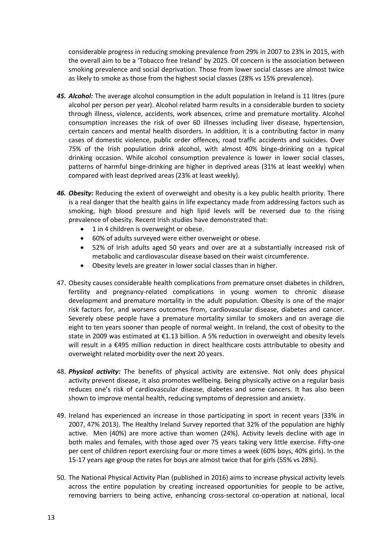considerable progress in reducing smoking prevalence from 29% in 2007 to 23% in 2015, with the overall aim to be a 'Tobacco free Ireland' by 2025. Of concern is the association between smoking prevalence and social deprivation. Those from lower social classes are almost twice as likely to smoke as those from the highest social classes (28% vs 15% prevalence).

- *45. Alcohol:* The average alcohol consumption in the adult population in Ireland is 11 litres (pure alcohol per person per year). Alcohol related harm results in a considerable burden to society through illness, violence, accidents, work absences, crime and premature mortality. Alcohol consumption increases the risk of over 60 illnesses including liver disease, hypertension, certain cancers and mental health disorders. In addition, it is a contributing factor in many cases of domestic violence, public order offences, road traffic accidents and suicides. Over 75% of the Irish population drink alcohol, with almost 40% binge-drinking on a typical drinking occasion. While alcohol consumption prevalence is lower in lower social classes, patterns of harmful binge-drinking are higher in deprived areas (31% at least weekly) when compared with least deprived areas (23% at least weekly).
- *46. Obesity:* Reducing the extent of overweight and obesity is a key public health priority. There is a real danger that the health gains in life expectancy made from addressing factors such as smoking, high blood pressure and high lipid levels will be reversed due to the rising prevalence of obesity. Recent Irish studies have demonstrated that:
	- 1 in 4 children is overweight or obese.
	- 60% of adults surveyed were either overweight or obese.
	- 52% of Irish adults aged 50 years and over are at a substantially increased risk of metabolic and cardiovascular disease based on their waist circumference.
	- Obesity levels are greater in lower social classes than in higher.
- 47. Obesity causes considerable health complications from premature onset diabetes in children, fertility and pregnancy-related complications in young women to chronic disease development and premature mortality in the adult population. Obesity is one of the major risk factors for, and worsens outcomes from, cardiovascular disease, diabetes and cancer. Severely obese people have a premature mortality similar to smokers and on average die eight to ten years sooner than people of normal weight. In Ireland, the cost of obesity to the state in 2009 was estimated at €1.13 billion. A 5% reduction in overweight and obesity levels will result in a €495 million reduction in direct healthcare costs attributable to obesity and overweight related morbidity over the next 20 years.
- 48. *Physical activity:* The benefits of physical activity are extensive. Not only does physical activity prevent disease, it also promotes wellbeing. Being physically active on a regular basis reduces one's risk of cardiovascular disease, diabetes and some cancers. It has also been shown to improve mental health, reducing symptoms of depression and anxiety.
- 49. Ireland has experienced an increase in those participating in sport in recent years (33% in 2007, 47% 2013). The Healthy Ireland Survey reported that 32% of the population are highly active. Men (40%) are more active than women (24%). Activity levels decline with age in both males and females, with those aged over 75 years taking very little exercise. Fifty-one per cent of children report exercising four or more times a week (60% boys, 40% girls). In the 15-17 years age group the rates for boys are almost twice that for girls (55% vs 28%).
- 50. The National Physical Activity Plan (published in 2016) aims to increase physical activity levels across the entire population by creating increased opportunities for people to be active, removing barriers to being active, enhancing cross-sectoral co-operation at national, local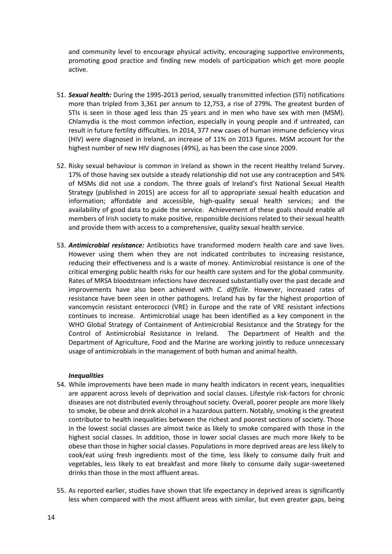and community level to encourage physical activity, encouraging supportive environments, promoting good practice and finding new models of participation which get more people active.

- 51. *Sexual health:* During the 1995-2013 period, sexually transmitted infection (STI) notifications more than tripled from 3,361 per annum to 12,753, a rise of 279%. The greatest burden of STIs is seen in those aged less than 25 years and in men who have sex with men (MSM). Chlamydia is the most common infection, especially in young people and if untreated, can result in future fertility difficulties. In 2014, 377 new cases of human immune deficiency virus (HIV) were diagnosed in Ireland, an increase of 11% on 2013 figures. MSM account for the highest number of new HIV diagnoses (49%), as has been the case since 2009.
- 52. Risky sexual behaviour is common in Ireland as shown in the recent Healthy Ireland Survey. 17% of those having sex outside a steady relationship did not use any contraception and 54% of MSMs did not use a condom. The three goals of Ireland's first National Sexual Health Strategy (published in 2015) are access for all to appropriate sexual health education and information; affordable and accessible, high-quality sexual health services; and the availability of good data to guide the service. Achievement of these goals should enable all members of Irish society to make positive, responsible decisions related to their sexual health and provide them with access to a comprehensive, quality sexual health service.
- 53. *Antimicrobial resistance:* [Antibiotics](http://www.hpsc.ie/A-Z/MicrobiologyAntimicrobialResistance/Antibiotics/) have transformed modern health care and save lives. However using them when they are not indicated contributes to increasing resistance, reducing their effectiveness and is a waste of money. Antimicrobial resistance is one of the critical emerging public health risks for our health care system and for the global community. Rates of MRSA bloodstream infections have decreased substantially over the past decade and improvements have also been achieved with *C. difficile*. However, increased rates of resistance have been seen in other pathogens. Ireland has by far the highest proportion of vancomycin resistant enterococci (VRE) in Europe and the rate of VRE resistant infections continues to increase. Antimicrobial usage has been identified as a key component in the WHO Global Strategy of Containment of Antimicrobial Resistance and the Strategy for the Control of Antimicrobial Resistance in Ireland. The Department of Health and the Department of Agriculture, Food and the Marine are working jointly to reduce unnecessary usage of antimicrobials in the management of both human and animal health.

#### *Inequalities*

- 54. While improvements have been made in many health indicators in recent years, inequalities are apparent across levels of deprivation and social classes. Lifestyle risk-factors for chronic diseases are not distributed evenly throughout society. Overall, poorer people are more likely to smoke, be obese and drink alcohol in a hazardous pattern. Notably, smoking is the greatest contributor to health inequalities between the richest and poorest sections of society. Those in the lowest social classes are almost twice as likely to smoke compared with those in the highest social classes. In addition, those in lower social classes are much more likely to be obese than those in higher social classes. Populations in more deprived areas are less likely to cook/eat using fresh ingredients most of the time, less likely to consume daily fruit and vegetables, less likely to eat breakfast and more likely to consume daily sugar-sweetened drinks than those in the most affluent areas.
- 55. As reported earlier, studies have shown that life expectancy in deprived areas is significantly less when compared with the most affluent areas with similar, but even greater gaps, being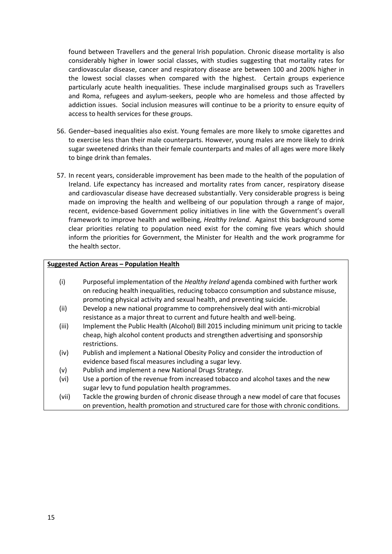found between Travellers and the general Irish population. Chronic disease mortality is also considerably higher in lower social classes, with studies suggesting that mortality rates for cardiovascular disease, cancer and respiratory disease are between 100 and 200% higher in the lowest social classes when compared with the highest. Certain groups experience particularly acute health inequalities. These include marginalised groups such as Travellers and Roma, refugees and asylum-seekers, people who are homeless and those affected by addiction issues. Social inclusion measures will continue to be a priority to ensure equity of access to health services for these groups.

- 56. Gender–based inequalities also exist. Young females are more likely to smoke cigarettes and to exercise less than their male counterparts. However, young males are more likely to drink sugar sweetened drinks than their female counterparts and males of all ages were more likely to binge drink than females.
- 57. In recent years, considerable improvement has been made to the health of the population of Ireland. Life expectancy has increased and mortality rates from cancer, respiratory disease and cardiovascular disease have decreased substantially. Very considerable progress is being made on improving the health and wellbeing of our population through a range of major, recent, evidence-based Government policy initiatives in line with the Government's overall framework to improve health and wellbeing, *Healthy Ireland*. Against this background some clear priorities relating to population need exist for the coming five years which should inform the priorities for Government, the Minister for Health and the work programme for the health sector.

#### **Suggested Action Areas – Population Health**

- (i) Purposeful implementation of the *Healthy Ireland* agenda combined with further work on reducing health inequalities, reducing tobacco consumption and substance misuse, promoting physical activity and sexual health, and preventing suicide.
- (ii) Develop a new national programme to comprehensively deal with anti-microbial resistance as a major threat to current and future health and well-being.
- (iii) Implement the Public Health (Alcohol) Bill 2015 including minimum unit pricing to tackle cheap, high alcohol content products and strengthen advertising and sponsorship restrictions.
- (iv) Publish and implement a National Obesity Policy and consider the introduction of evidence based fiscal measures including a sugar levy.
- (v) Publish and implement a new National Drugs Strategy.
- (vi) Use a portion of the revenue from increased tobacco and alcohol taxes and the new sugar levy to fund population health programmes.
- (vii) Tackle the growing burden of chronic disease through a new model of care that focuses on prevention, health promotion and structured care for those with chronic conditions.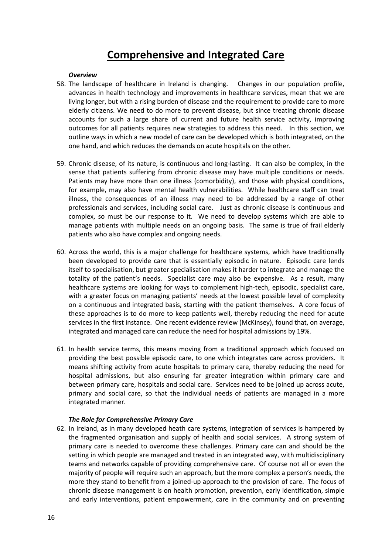### **Comprehensive and Integrated Care**

#### *Overview*

- 58. The landscape of healthcare in Ireland is changing. Changes in our population profile, advances in health technology and improvements in healthcare services, mean that we are living longer, but with a rising burden of disease and the requirement to provide care to more elderly citizens. We need to do more to prevent disease, but since treating chronic disease accounts for such a large share of current and future health service activity, improving outcomes for all patients requires new strategies to address this need. In this section, we outline ways in which a new model of care can be developed which is both integrated, on the one hand, and which reduces the demands on acute hospitals on the other.
- 59. Chronic disease, of its nature, is continuous and long-lasting. It can also be complex, in the sense that patients suffering from chronic disease may have multiple conditions or needs. Patients may have more than one illness (comorbidity), and those with physical conditions, for example, may also have mental health vulnerabilities. While healthcare staff can treat illness, the consequences of an illness may need to be addressed by a range of other professionals and services, including social care. Just as chronic disease is continuous and complex, so must be our response to it. We need to develop systems which are able to manage patients with multiple needs on an ongoing basis. The same is true of frail elderly patients who also have complex and ongoing needs.
- 60. Across the world, this is a major challenge for healthcare systems, which have traditionally been developed to provide care that is essentially episodic in nature. Episodic care lends itself to specialisation, but greater specialisation makes it harder to integrate and manage the totality of the patient's needs. Specialist care may also be expensive. As a result, many healthcare systems are looking for ways to complement high-tech, episodic, specialist care, with a greater focus on managing patients' needs at the lowest possible level of complexity on a continuous and integrated basis, starting with the patient themselves. A core focus of these approaches is to do more to keep patients well, thereby reducing the need for acute services in the first instance. One recent evidence review (McKinsey), found that, on average, integrated and managed care can reduce the need for hospital admissions by 19%.
- 61. In health service terms, this means moving from a traditional approach which focused on providing the best possible episodic care, to one which integrates care across providers. It means shifting activity from acute hospitals to primary care, thereby reducing the need for hospital admissions, but also ensuring far greater integration within primary care and between primary care, hospitals and social care. Services need to be joined up across acute, primary and social care, so that the individual needs of patients are managed in a more integrated manner.

#### *The Role for Comprehensive Primary Care*

62. In Ireland, as in many developed heath care systems, integration of services is hampered by the fragmented organisation and supply of health and social services. A strong system of primary care is needed to overcome these challenges. Primary care can and should be the setting in which people are managed and treated in an integrated way, with multidisciplinary teams and networks capable of providing comprehensive care. Of course not all or even the majority of people will require such an approach, but the more complex a person's needs, the more they stand to benefit from a joined-up approach to the provision of care. The focus of chronic disease management is on health promotion, prevention, early identification, simple and early interventions, patient empowerment, care in the community and on preventing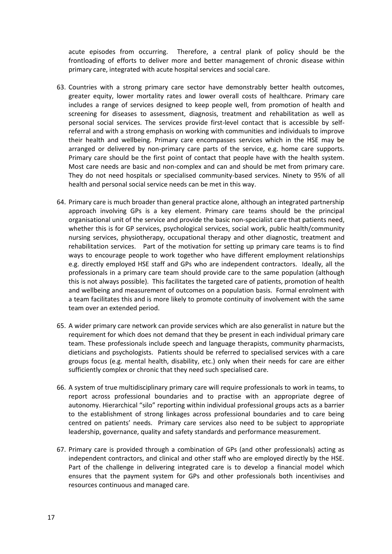acute episodes from occurring. Therefore, a central plank of policy should be the frontloading of efforts to deliver more and better management of chronic disease within primary care, integrated with acute hospital services and social care.

- 63. Countries with a strong primary care sector have demonstrably better health outcomes, greater equity, lower mortality rates and lower overall costs of healthcare. Primary care includes a range of services designed to keep people well, from promotion of health and screening for diseases to assessment, diagnosis, treatment and rehabilitation as well as personal social services. The services provide first-level contact that is accessible by selfreferral and with a strong emphasis on working with communities and individuals to improve their health and wellbeing. Primary care encompasses services which in the HSE may be arranged or delivered by non-primary care parts of the service, e.g. home care supports. Primary care should be the first point of contact that people have with the health system. Most care needs are basic and non-complex and can and should be met from primary care. They do not need hospitals or specialised community-based services. Ninety to 95% of all health and personal social service needs can be met in this way.
- 64. Primary care is much broader than general practice alone, although an integrated partnership approach involving GPs is a key element. Primary care teams should be the principal organisational unit of the service and provide the basic non-specialist care that patients need, whether this is for GP services, psychological services, social work, public health/community nursing services, physiotherapy, occupational therapy and other diagnostic, treatment and rehabilitation services. Part of the motivation for setting up primary care teams is to find ways to encourage people to work together who have different employment relationships e.g. directly employed HSE staff and GPs who are independent contractors. Ideally, all the professionals in a primary care team should provide care to the same population (although this is not always possible). This facilitates the targeted care of patients, promotion of health and wellbeing and measurement of outcomes on a population basis. Formal enrolment with a team facilitates this and is more likely to promote continuity of involvement with the same team over an extended period.
- 65. A wider primary care network can provide services which are also generalist in nature but the requirement for which does not demand that they be present in each individual primary care team. These professionals include speech and language therapists, community pharmacists, dieticians and psychologists. Patients should be referred to specialised services with a care groups focus (e.g. mental health, disability, etc.) only when their needs for care are either sufficiently complex or chronic that they need such specialised care.
- 66. A system of true multidisciplinary primary care will require professionals to work in teams, to report across professional boundaries and to practise with an appropriate degree of autonomy. Hierarchical "silo" reporting within individual professional groups acts as a barrier to the establishment of strong linkages across professional boundaries and to care being centred on patients' needs. Primary care services also need to be subject to appropriate leadership, governance, quality and safety standards and performance measurement.
- 67. Primary care is provided through a combination of GPs (and other professionals) acting as independent contractors, and clinical and other staff who are employed directly by the HSE. Part of the challenge in delivering integrated care is to develop a financial model which ensures that the payment system for GPs and other professionals both incentivises and resources continuous and managed care.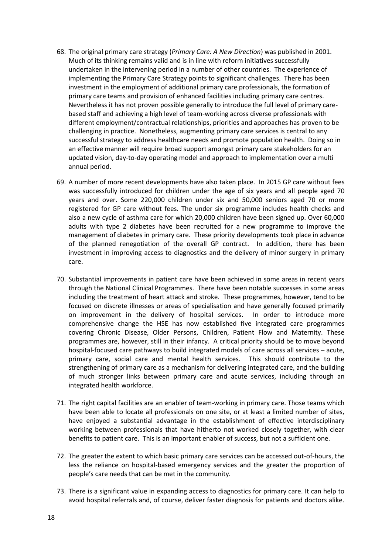- 68. The original primary care strategy (*Primary Care: A New Direction*) was published in 2001. Much of its thinking remains valid and is in line with reform initiatives successfully undertaken in the intervening period in a number of other countries. The experience of implementing the Primary Care Strategy points to significant challenges. There has been investment in the employment of additional primary care professionals, the formation of primary care teams and provision of enhanced facilities including primary care centres. Nevertheless it has not proven possible generally to introduce the full level of primary carebased staff and achieving a high level of team-working across diverse professionals with different employment/contractual relationships, priorities and approaches has proven to be challenging in practice. Nonetheless, augmenting primary care services is central to any successful strategy to address healthcare needs and promote population health. Doing so in an effective manner will require broad support amongst primary care stakeholders for an updated vision, day-to-day operating model and approach to implementation over a multi annual period.
- 69. A number of more recent developments have also taken place. In 2015 GP care without fees was successfully introduced for children under the age of six years and all people aged 70 years and over. Some 220,000 children under six and 50,000 seniors aged 70 or more registered for GP care without fees. The under six programme includes health checks and also a new cycle of asthma care for which 20,000 children have been signed up. Over 60,000 adults with type 2 diabetes have been recruited for a new programme to improve the management of diabetes in primary care. These priority developments took place in advance of the planned renegotiation of the overall GP contract. In addition, there has been investment in improving access to diagnostics and the delivery of minor surgery in primary care.
- 70. Substantial improvements in patient care have been achieved in some areas in recent years through the National Clinical Programmes. There have been notable successes in some areas including the treatment of heart attack and stroke. These programmes, however, tend to be focused on discrete illnesses or areas of specialisation and have generally focused primarily on improvement in the delivery of hospital services. In order to introduce more comprehensive change the HSE has now established five integrated care programmes covering Chronic Disease, Older Persons, Children, Patient Flow and Maternity. These programmes are, however, still in their infancy. A critical priority should be to move beyond hospital-focused care pathways to build integrated models of care across all services – acute, primary care, social care and mental health services. This should contribute to the strengthening of primary care as a mechanism for delivering integrated care, and the building of much stronger links between primary care and acute services, including through an integrated health workforce.
- 71. The right capital facilities are an enabler of team-working in primary care. Those teams which have been able to locate all professionals on one site, or at least a limited number of sites, have enjoyed a substantial advantage in the establishment of effective interdisciplinary working between professionals that have hitherto not worked closely together, with clear benefits to patient care. This is an important enabler of success, but not a sufficient one.
- 72. The greater the extent to which basic primary care services can be accessed out-of-hours, the less the reliance on hospital-based emergency services and the greater the proportion of people's care needs that can be met in the community.
- 73. There is a significant value in expanding access to diagnostics for primary care. It can help to avoid hospital referrals and, of course, deliver faster diagnosis for patients and doctors alike.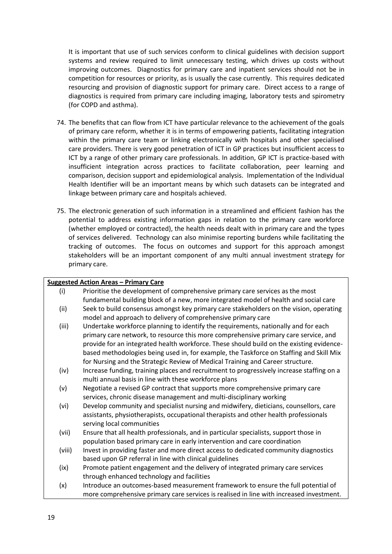It is important that use of such services conform to clinical guidelines with decision support systems and review required to limit unnecessary testing, which drives up costs without improving outcomes. Diagnostics for primary care and inpatient services should not be in competition for resources or priority, as is usually the case currently. This requires dedicated resourcing and provision of diagnostic support for primary care. Direct access to a range of diagnostics is required from primary care including imaging, laboratory tests and spirometry (for COPD and asthma).

- 74. The benefits that can flow from ICT have particular relevance to the achievement of the goals of primary care reform, whether it is in terms of empowering patients, facilitating integration within the primary care team or linking electronically with hospitals and other specialised care providers. There is very good penetration of ICT in GP practices but insufficient access to ICT by a range of other primary care professionals. In addition, GP ICT is practice-based with insufficient integration across practices to facilitate collaboration, peer learning and comparison, decision support and epidemiological analysis. Implementation of the Individual Health Identifier will be an important means by which such datasets can be integrated and linkage between primary care and hospitals achieved.
- 75. The electronic generation of such information in a streamlined and efficient fashion has the potential to address existing information gaps in relation to the primary care workforce (whether employed or contracted), the health needs dealt with in primary care and the types of services delivered. Technology can also minimise reporting burdens while facilitating the tracking of outcomes. The focus on outcomes and support for this approach amongst stakeholders will be an important component of any multi annual investment strategy for primary care.

| <b>Suggested Action Areas - Primary Care</b> |                                                                                           |
|----------------------------------------------|-------------------------------------------------------------------------------------------|
| (i)                                          | Prioritise the development of comprehensive primary care services as the most             |
|                                              | fundamental building block of a new, more integrated model of health and social care      |
| (ii)                                         | Seek to build consensus amongst key primary care stakeholders on the vision, operating    |
|                                              | model and approach to delivery of comprehensive primary care                              |
| (iii)                                        | Undertake workforce planning to identify the requirements, nationally and for each        |
|                                              | primary care network, to resource this more comprehensive primary care service, and       |
|                                              | provide for an integrated health workforce. These should build on the existing evidence-  |
|                                              | based methodologies being used in, for example, the Taskforce on Staffing and Skill Mix   |
|                                              | for Nursing and the Strategic Review of Medical Training and Career structure.            |
| (iv)                                         | Increase funding, training places and recruitment to progressively increase staffing on a |
|                                              | multi annual basis in line with these workforce plans                                     |
| (v)                                          | Negotiate a revised GP contract that supports more comprehensive primary care             |
|                                              | services, chronic disease management and multi-disciplinary working                       |
| (vi)                                         | Develop community and specialist nursing and midwifery, dieticians, counsellors, care     |
|                                              | assistants, physiotherapists, occupational therapists and other health professionals      |
|                                              | serving local communities                                                                 |
| (vii)                                        | Ensure that all health professionals, and in particular specialists, support those in     |
|                                              | population based primary care in early intervention and care coordination                 |
| (viii)                                       | Invest in providing faster and more direct access to dedicated community diagnostics      |
|                                              | based upon GP referral in line with clinical guidelines                                   |
| (ix)                                         | Promote patient engagement and the delivery of integrated primary care services           |
|                                              | through enhanced technology and facilities                                                |
| (x)                                          | Introduce an outcomes-based measurement framework to ensure the full potential of         |
|                                              | more comprehensive primary care services is realised in line with increased investment.   |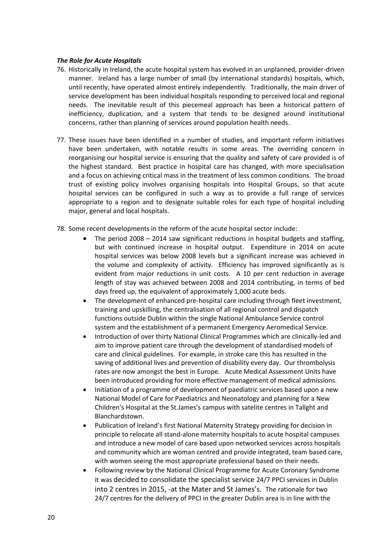#### *The Role for Acute Hospitals*

- 76. Historically in Ireland, the acute hospital system has evolved in an unplanned, provider-driven manner. Ireland has a large number of small (by international standards) hospitals, which, until recently, have operated almost entirely independently. Traditionally, the main driver of service development has been individual hospitals responding to perceived local and regional needs. The inevitable result of this piecemeal approach has been a historical pattern of inefficiency, duplication, and a system that tends to be designed around institutional concerns, rather than planning of services around population health needs.
- 77. These issues have been identified in a number of studies, and important reform initiatives have been undertaken, with notable results in some areas. The overriding concern in reorganising our hospital service is ensuring that the quality and safety of care provided is of the highest standard. Best practice in hospital care has changed, with more specialisation and a focus on achieving critical mass in the treatment of less common conditions. The broad trust of existing policy involves organising hospitals into Hospital Groups, so that acute hospital services can be configured in such a way as to provide a full range of services appropriate to a region and to designate suitable roles for each type of hospital including major, general and local hospitals.
- 78. Some recent developments in the reform of the acute hospital sector include:
	- The period 2008 2014 saw significant reductions in hospital budgets and staffing, but with continued increase in hospital output. Expenditure in 2014 on acute hospital services was below 2008 levels but a significant increase was achieved in the volume and complexity of activity. Efficiency has improved significantly as is evident from major reductions in unit costs. A 10 per cent reduction in average length of stay was achieved between 2008 and 2014 contributing, in terms of bed days freed up, the equivalent of approximately 1,000 acute beds.
	- The development of enhanced pre-hospital care including through fleet investment, training and upskilling, the centralisation of all regional control and dispatch functions outside Dublin within the single National Ambulance Service control system and the establishment of a permanent Emergency Aeromedical Service.
	- Introduction of over thirty National Clinical Programmes which are clinically-led and aim to improve patient care through the development of standardised models of care and clinical guidelines. For example, in stroke care this has resulted in the saving of additional lives and prevention of disability every day. Our thrombolysis rates are now amongst the best in Europe. Acute Medical Assessment Units have been introduced providing for more effective management of medical admissions.
	- Initiation of a programme of development of paediatric services based upon a new National Model of Care for Paediatrics and Neonatology and planning for a New Children's Hospital at the St.James's campus with satelite centres in Tallght and Blanchardstown.
	- Publication of Ireland's first National Maternity Strategy providing for decision in principle to relocate all stand-alone maternity hospitals to acute hospital campuses and introduce a new model of care based upon networked services across hospitals and community which are woman centred and provide integrated, team based care, with women seeing the most appropriate professional based on their needs.
	- Following review by the National Clinical Programme for Acute Coronary Syndrome it was decided to consolidate the specialist service 24/7 PPCI services in Dublin into 2 centres in 2015, -at the Mater and St James's. The rationale for two 24/7 centres for the delivery of PPCI in the greater Dublin area is in line with the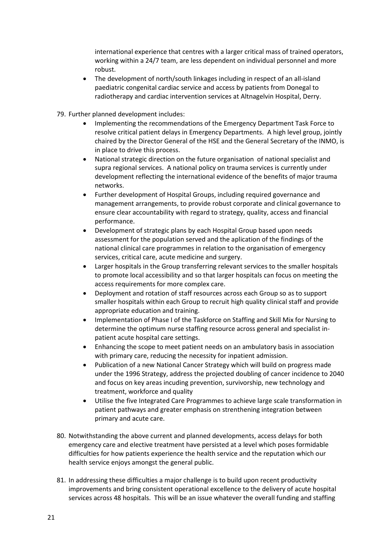international experience that centres with a larger critical mass of trained operators, working within a 24/7 team, are less dependent on individual personnel and more robust.

- The development of north/south linkages including in respect of an all-island paediatric congenital cardiac service and access by patients from Donegal to radiotherapy and cardiac intervention services at Altnagelvin Hospital, Derry.
- 79. Further planned development includes:
	- Implementing the recommendations of the Emergency Department Task Force to resolve critical patient delays in Emergency Departments. A high level group, jointly chaired by the Director General of the HSE and the General Secretary of the INMO, is in place to drive this process.
	- National strategic direction on the future organisation of national specialist and supra regional services. A national policy on trauma services is currently under development reflecting the international evidence of the benefits of major trauma networks.
	- Further development of Hospital Groups, including required governance and management arrangements, to provide robust corporate and clinical governance to ensure clear accountability with regard to strategy, quality, access and financial performance.
	- Development of strategic plans by each Hospital Group based upon needs assessment for the population served and the aplication of the findings of the national clinical care programmes in relation to the organisation of emergency services, critical care, acute medicine and surgery.
	- Larger hospitals in the Group transferring relevant services to the smaller hospitals to promote local accessibility and so that larger hospitals can focus on meeting the access requirements for more complex care.
	- Deployment and rotation of staff resources across each Group so as to support smaller hospitals within each Group to recruit high quality clinical staff and provide appropriate education and training.
	- Implementation of Phase I of the Taskforce on Staffing and Skill Mix for Nursing to determine the optimum nurse staffing resource across general and specialist inpatient acute hospital care settings.
	- Enhancing the scope to meet patient needs on an ambulatory basis in association with primary care, reducing the necessity for inpatient admission.
	- Publication of a new National Cancer Strategy which will build on progress made under the 1996 Strategy, address the projected doubling of cancer incidence to 2040 and focus on key areas incuding prevention, survivorship, new technology and treatment, workforce and quality
	- Utilise the five Integrated Care Programmes to achieve large scale transformation in patient pathways and greater emphasis on strenthening integration between primary and acute care.
- 80. Notwithstanding the above current and planned developments, access delays for both emergency care and elective treatment have persisted at a level which poses formidable difficulties for how patients experience the health service and the reputation which our health service enjoys amongst the general public.
- 81. In addressing these difficulties a major challenge is to build upon recent productivity improvements and bring consistent operational excellence to the delivery of acute hospital services across 48 hospitals. This will be an issue whatever the overall funding and staffing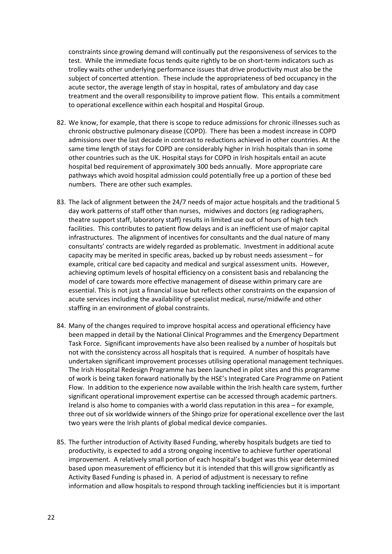constraints since growing demand will continually put the responsiveness of services to the test. While the immediate focus tends quite rightly to be on short-term indicators such as trolley waits other underlying performance issues that drive productivity must also be the subject of concerted attention. These include the appropriateness of bed occupancy in the acute sector, the average length of stay in hospital, rates of ambulatory and day case treatment and the overall responsibility to improve patient flow. This entails a commitment to operational excellence within each hospital and Hospital Group.

- 82. We know, for example, that there is scope to reduce admissions for chronic illnesses such as chronic obstructive pulmonary disease (COPD). There has been a modest increase in COPD admissions over the last decade in contrast to reductions achieved in other countries. At the same time length of stays for COPD are considerably higher in Irish hospitals than in some other countries such as the UK. Hospital stays for COPD in Irish hospitals entail an acute hospital bed requirement of approximately 300 beds annually. More appropriate care pathways which avoid hospital admission could potentially free up a portion of these bed numbers. There are other such examples.
- 83. The lack of alignment between the 24/7 needs of major actue hospitals and the traditional 5 day work patterns of staff other than nurses, midwives and doctors (eg radiographers, theatre support staff, laboratory staff) results in limited use out of hours of high tech facilities. This contributes to patient flow delays and is an inefficient use of major capital infrastructures. The alignment of incentives for consultants and the dual nature of many consultants' contracts are widely regarded as problematic. Investment in additional acute capacity may be merited in specific areas, backed up by robust needs assessment – for example, critical care bed capacity and medical and surgical assessment units. However, achieving optimum levels of hospital efficiency on a consistent basis and rebalancing the model of care towards more effective management of disease within primary care are essential. This is not just a financial issue but reflects other constraints on the expansion of acute services including the availability of specialist medical, nurse/midwife and other staffing in an environment of global constraints.
- 84. Many of the changes required to improve hospital access and operational efficiency have been mapped in detail by the National Clinical Programmes and the Emergency Department Task Force. Significant improvements have also been realised by a number of hospitals but not with the consistency across all hospitals that is required. A number of hospitals have undertaken significant improvement processes utilising operational management techniques. The Irish Hospital Redesign Programme has been launched in pilot sites and this programme of work is being taken forward nationally by the HSE's Integrated Care Programme on Patient Flow. In addition to the experience now available within the Irish health care system, further significant operational improvement expertise can be accessed through academic partners. Ireland is also home to companies with a world class reputation in this area – for example, three out of six worldwide winners of the Shingo prize for operational excellence over the last two years were the Irish plants of global medical device companies.
- 85. The further introduction of Activity Based Funding, whereby hospitals budgets are tied to productivity, is expected to add a strong ongoing incentive to achieve further operational improvement. A relatively small portion of each hospital's budget was this year determined based upon measurement of efficiency but it is intended that this will grow significantly as Activity Based Funding is phased in. A period of adjustment is necessary to refine information and allow hospitals to respond through tackling inefficiencies but it is important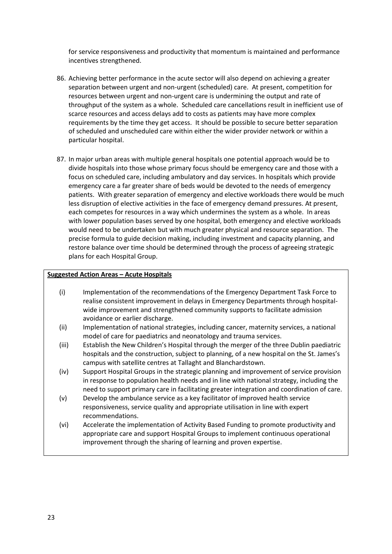for service responsiveness and productivity that momentum is maintained and performance incentives strengthened.

- 86. Achieving better performance in the acute sector will also depend on achieving a greater separation between urgent and non-urgent (scheduled) care. At present, competition for resources between urgent and non-urgent care is undermining the output and rate of throughput of the system as a whole. Scheduled care cancellations result in inefficient use of scarce resources and access delays add to costs as patients may have more complex requirements by the time they get access. It should be possible to secure better separation of scheduled and unscheduled care within either the wider provider network or within a particular hospital.
- 87. In major urban areas with multiple general hospitals one potential approach would be to divide hospitals into those whose primary focus should be emergency care and those with a focus on scheduled care, including ambulatory and day services. In hospitals which provide emergency care a far greater share of beds would be devoted to the needs of emergency patients. With greater separation of emergency and elective workloads there would be much less disruption of elective activities in the face of emergency demand pressures. At present, each competes for resources in a way which undermines the system as a whole. In areas with lower population bases served by one hospital, both emergency and elective workloads would need to be undertaken but with much greater physical and resource separation. The precise formula to guide decision making, including investment and capacity planning, and restore balance over time should be determined through the process of agreeing strategic plans for each Hospital Group.

#### **Suggested Action Areas – Acute Hospitals**

- (i) Implementation of the recommendations of the Emergency Department Task Force to realise consistent improvement in delays in Emergency Departments through hospitalwide improvement and strengthened community supports to facilitate admission avoidance or earlier discharge.
- (ii) Implementation of national strategies, including cancer, maternity services, a national model of care for paediatrics and neonatology and trauma services.
- (iii) Establish the New Children's Hospital through the merger of the three Dublin paediatric hospitals and the construction, subject to planning, of a new hospital on the St. James's campus with satellite centres at Tallaght and Blanchardstown.
- (iv) Support Hospital Groups in the strategic planning and improvement of service provision in response to population health needs and in line with national strategy, including the need to support primary care in facilitating greater integration and coordination of care.
- (v) Develop the ambulance service as a key facilitator of improved health service responsiveness, service quality and appropriate utilisation in line with expert recommendations.
- (vi) Accelerate the implementation of Activity Based Funding to promote productivity and appropriate care and support Hospital Groups to implement continuous operational improvement through the sharing of learning and proven expertise.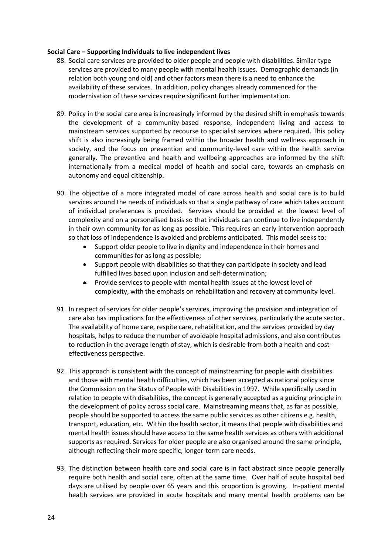#### **Social Care – Supporting Individuals to live independent lives**

- 88. Social care services are provided to older people and people with disabilities. Similar type services are provided to many people with mental health issues. Demographic demands (in relation both young and old) and other factors mean there is a need to enhance the availability of these services. In addition, policy changes already commenced for the modernisation of these services require significant further implementation.
- 89. Policy in the social care area is increasingly informed by the desired shift in emphasis towards the development of a community-based response, independent living and access to mainstream services supported by recourse to specialist services where required. This policy shift is also increasingly being framed within the broader health and wellness approach in society, and the focus on prevention and community-level care within the health service generally. The preventive and health and wellbeing approaches are informed by the shift internationally from a medical model of health and social care, towards an emphasis on autonomy and equal citizenship.
- 90. The objective of a more integrated model of care across health and social care is to build services around the needs of individuals so that a single pathway of care which takes account of individual preferences is provided. Services should be provided at the lowest level of complexity and on a personalised basis so that individuals can continue to live independently in their own community for as long as possible. This requires an early intervention approach so that loss of independence is avoided and problems anticipated. This model seeks to:
	- Support older people to live in dignity and independence in their homes and communities for as long as possible;
	- Support people with disabilities so that they can participate in society and lead fulfilled lives based upon inclusion and self-determination;
	- **•** Provide services to people with mental health issues at the lowest level of complexity, with the emphasis on rehabilitation and recovery at community level.
- 91. In respect of services for older people's services, improving the provision and integration of care also has implications for the effectiveness of other services, particularly the acute sector. The availability of home care, respite care, rehabilitation, and the services provided by day hospitals, helps to reduce the number of avoidable hospital admissions, and also contributes to reduction in the average length of stay, which is desirable from both a health and costeffectiveness perspective.
- 92. This approach is consistent with the concept of mainstreaming for people with disabilities and those with mental health difficulties, which has been accepted as national policy since the Commission on the Status of People with Disabilities in 1997. While specifically used in relation to people with disabilities, the concept is generally accepted as a guiding principle in the development of policy across social care. Mainstreaming means that, as far as possible, people should be supported to access the same public services as other citizens e.g. health, transport, education, etc. Within the health sector, it means that people with disabilities and mental health issues should have access to the same health services as others with additional supports as required. Services for older people are also organised around the same principle, although reflecting their more specific, longer-term care needs.
- 93. The distinction between health care and social care is in fact abstract since people generally require both health and social care, often at the same time. Over half of acute hospital bed days are utilised by people over 65 years and this proportion is growing. In-patient mental health services are provided in acute hospitals and many mental health problems can be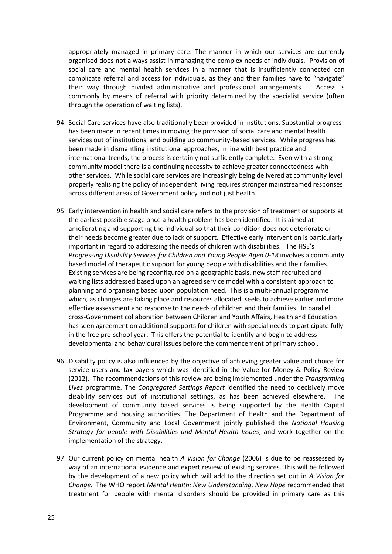appropriately managed in primary care. The manner in which our services are currently organised does not always assist in managing the complex needs of individuals. Provision of social care and mental health services in a manner that is insufficiently connected can complicate referral and access for individuals, as they and their families have to "navigate" their way through divided administrative and professional arrangements. Access is commonly by means of referral with priority determined by the specialist service (often through the operation of waiting lists).

- 94. Social Care services have also traditionally been provided in institutions. Substantial progress has been made in recent times in moving the provision of social care and mental health services out of institutions, and building up community-based services. While progress has been made in dismantling institutional approaches, in line with best practice and international trends, the process is certainly not sufficiently complete. Even with a strong community model there is a continuing necessity to achieve greater connectedness with other services. While social care services are increasingly being delivered at community level properly realising the policy of independent living requires stronger mainstreamed responses across different areas of Government policy and not just health.
- 95. Early intervention in health and social care refers to the provision of treatment or supports at the earliest possible stage once a health problem has been identified. It is aimed at ameliorating and supporting the individual so that their condition does not deteriorate or their needs become greater due to lack of support. Effective early intervention is particularly important in regard to addressing the needs of children with disabilities. The HSE's *Progressing Disability Services for Children and Young People Aged 0-18* involves a community based model of therapeutic support for young people with disabilities and their families. Existing services are being reconfigured on a geographic basis, new staff recruited and waiting lists addressed based upon an agreed service model with a consistent approach to planning and organising based upon population need. This is a multi-annual programme which, as changes are taking place and resources allocated, seeks to achieve earlier and more effective assessment and response to the needs of children and their families. In parallel cross-Government collaboration between Children and Youth Affairs, Health and Education has seen agreement on additional supports for children with special needs to participate fully in the free pre-school year. This offers the potential to identify and begin to address developmental and behavioural issues before the commencement of primary school.
- 96. Disability policy is also influenced by the objective of achieving greater value and choice for service users and tax payers which was identified in the Value for Money & Policy Review (2012). The recommendations of this review are being implemented under the *Transforming Lives* programme. The *Congregated Settings Report* identified the need to decisively move disability services out of institutional settings, as has been achieved elsewhere. The development of community based services is being supported by the Health Capital Programme and housing authorities. The Department of Health and the Department of Environment, Community and Local Government jointly published the *National Housing Strategy for people with Disabilities and Mental Health Issues*, and work together on the implementation of the strategy.
- 97. Our current policy on mental health *A Vision for Change* (2006) is due to be reassessed by way of an international evidence and expert review of existing services. This will be followed by the development of a new policy which will add to the direction set out in *A Vision for Change*. The WHO report *Mental Health: New Understanding, New Hope* recommended that treatment for people with mental disorders should be provided in primary care as this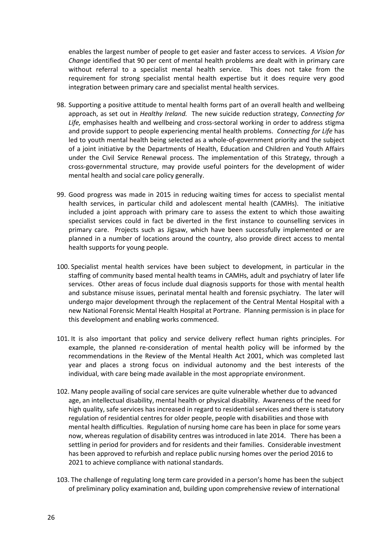enables the largest number of people to get easier and faster access to services. *A Vision for Change* identified that 90 per cent of mental health problems are dealt with in primary care without referral to a specialist mental health service. This does not take from the requirement for strong specialist mental health expertise but it does require very good integration between primary care and specialist mental health services.

- 98. Supporting a positive attitude to mental health forms part of an overall health and wellbeing approach, as set out in *Healthy Ireland.* The new suicide reduction strategy, *Connecting for Life,* emphasises health and wellbeing and cross-sectoral working in order to address stigma and provide support to people experiencing mental health problems. *Connecting for Life* has led to youth mental health being selected as a whole-of-government priority and the subject of a joint initiative by the Departments of Health, Education and Children and Youth Affairs under the Civil Service Renewal process. The implementation of this Strategy, through a cross-governmental structure, may provide useful pointers for the development of wider mental health and social care policy generally.
- 99. Good progress was made in 2015 in reducing waiting times for access to specialist mental health services, in particular child and adolescent mental health (CAMHs). The initiative included a joint approach with primary care to assess the extent to which those awaiting specialist services could in fact be diverted in the first instance to counselling services in primary care. Projects such as Jigsaw, which have been successfully implemented or are planned in a number of locations around the country, also provide direct access to mental health supports for young people.
- 100. Specialist mental health services have been subject to development, in particular in the staffing of community based mental health teams in CAMHs, adult and psychiatry of later life services. Other areas of focus include dual diagnosis supports for those with mental health and substance misuse issues, perinatal mental health and forensic psychiatry. The later will undergo major development through the replacement of the Central Mental Hospital with a new National Forensic Mental Health Hospital at Portrane. Planning permission is in place for this development and enabling works commenced.
- 101. It is also important that policy and service delivery reflect human rights principles. For example, the planned re-consideration of mental health policy will be informed by the recommendations in the Review of the Mental Health Act 2001, which was completed last year and places a strong focus on individual autonomy and the best interests of the individual, with care being made available in the most appropriate environment.
- 102. Many people availing of social care services are quite vulnerable whether due to advanced age, an intellectual disability, mental health or physical disability. Awareness of the need for high quality, safe services has increased in regard to residential services and there is statutory regulation of residential centres for older people, people with disabilities and those with mental health difficulties. Regulation of nursing home care has been in place for some years now, whereas regulation of disability centres was introduced in late 2014. There has been a settling in period for providers and for residents and their families. Considerable investment has been approved to refurbish and replace public nursing homes over the period 2016 to 2021 to achieve compliance with national standards.
- 103. The challenge of regulating long term care provided in a person's home has been the subject of preliminary policy examination and, building upon comprehensive review of international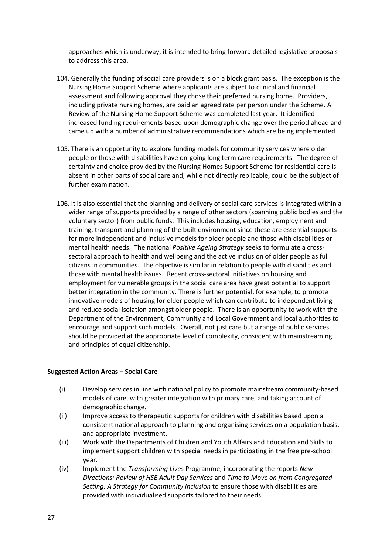approaches which is underway, it is intended to bring forward detailed legislative proposals to address this area.

- 104. Generally the funding of social care providers is on a block grant basis. The exception is the Nursing Home Support Scheme where applicants are subject to clinical and financial assessment and following approval they chose their preferred nursing home. Providers, including private nursing homes, are paid an agreed rate per person under the Scheme. A Review of the Nursing Home Support Scheme was completed last year. It identified increased funding requirements based upon demographic change over the period ahead and came up with a number of administrative recommendations which are being implemented.
- 105. There is an opportunity to explore funding models for community services where older people or those with disabilities have on-going long term care requirements. The degree of certainty and choice provided by the Nursing Homes Support Scheme for residential care is absent in other parts of social care and, while not directly replicable, could be the subject of further examination.
- 106. It is also essential that the planning and delivery of social care services is integrated within a wider range of supports provided by a range of other sectors (spanning public bodies and the voluntary sector) from public funds. This includes housing, education, employment and training, transport and planning of the built environment since these are essential supports for more independent and inclusive models for older people and those with disabilities or mental health needs. The national *Positive Ageing Strategy* seeks to formulate a crosssectoral approach to health and wellbeing and the active inclusion of older people as full citizens in communities. The objective is similar in relation to people with disabilities and those with mental health issues. Recent cross-sectoral initiatives on housing and employment for vulnerable groups in the social care area have great potential to support better integration in the community. There is further potential, for example, to promote innovative models of housing for older people which can contribute to independent living and reduce social isolation amongst older people. There is an opportunity to work with the Department of the Environment, Community and Local Government and local authorities to encourage and support such models. Overall, not just care but a range of public services should be provided at the appropriate level of complexity, consistent with mainstreaming and principles of equal citizenship.

#### **Suggested Action Areas – Social Care**

- (i) Develop services in line with national policy to promote mainstream community-based models of care, with greater integration with primary care, and taking account of demographic change.
- (ii) Improve access to therapeutic supports for children with disabilities based upon a consistent national approach to planning and organising services on a population basis, and appropriate investment.
- (iii) Work with the Departments of Children and Youth Affairs and Education and Skills to implement support children with special needs in participating in the free pre-school year.
- (iv) Implement the *Transforming Lives* Programme, incorporating the reports *New Directions: Review of HSE Adult Day Services* and *Time to Move on from Congregated Setting: A Strategy for Community Inclusion* to ensure those with disabilities are provided with individualised supports tailored to their needs.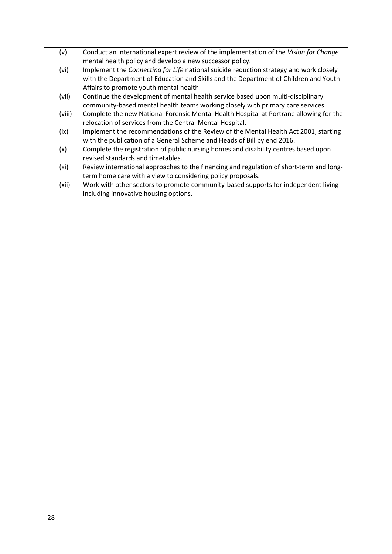(v) Conduct an international expert review of the implementation of the *Vision for Change* mental health policy and develop a new successor policy. (vi) Implement the *Connecting for Life* national suicide reduction strategy and work closely with the Department of Education and Skills and the Department of Children and Youth Affairs to promote youth mental health. (vii) Continue the development of mental health service based upon multi-disciplinary community-based mental health teams working closely with primary care services. (viii) Complete the new National Forensic Mental Health Hospital at Portrane allowing for the relocation of services from the Central Mental Hospital. (ix) Implement the recommendations of the Review of the Mental Health Act 2001, starting with the publication of a General Scheme and Heads of Bill by end 2016. (x) Complete the registration of public nursing homes and disability centres based upon revised standards and timetables. (xi) Review international approaches to the financing and regulation of short-term and longterm home care with a view to considering policy proposals. (xii) Work with other sectors to promote community-based supports for independent living including innovative housing options.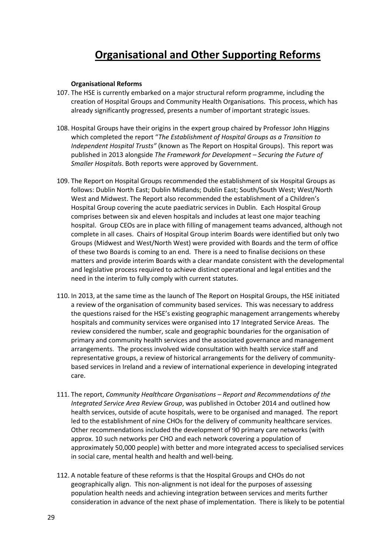## **Organisational and Other Supporting Reforms**

#### **Organisational Reforms**

- 107. The HSE is currently embarked on a major structural reform programme, including the creation of Hospital Groups and Community Health Organisations. This process, which has already significantly progressed, presents a number of important strategic issues.
- 108. Hospital Groups have their origins in the expert group chaired by Professor John Higgins which completed the report "*The Establishment of Hospital Groups as a Transition to Independent Hospital Trusts"* (known as The Report on Hospital Groups). This report was published in 2013 alongside *The Framework for Development – Securing the Future of Smaller Hospitals*. Both reports were approved by Government.
- 109. The Report on Hospital Groups recommended the establishment of six Hospital Groups as follows: Dublin North East; Dublin Midlands; Dublin East; South/South West; West/North West and Midwest. The Report also recommended the establishment of a Children's Hospital Group covering the acute paediatric services in Dublin. Each Hospital Group comprises between six and eleven hospitals and includes at least one major teaching hospital. Group CEOs are in place with filling of management teams advanced, although not complete in all cases. Chairs of Hospital Group interim Boards were identified but only two Groups (Midwest and West/North West) were provided with Boards and the term of office of these two Boards is coming to an end. There is a need to finalise decisions on these matters and provide interim Boards with a clear mandate consistent with the developmental and legislative process required to achieve distinct operational and legal entities and the need in the interim to fully comply with current statutes.
- 110. In 2013, at the same time as the launch of The Report on Hospital Groups, the HSE initiated a review of the organisation of community based services. This was necessary to address the questions raised for the HSE's existing geographic management arrangements whereby hospitals and community services were organised into 17 Integrated Service Areas. The review considered the number, scale and geographic boundaries for the organisation of primary and community health services and the associated governance and management arrangements. The process involved wide consultation with health service staff and representative groups, a review of historical arrangements for the delivery of communitybased services in Ireland and a review of international experience in developing integrated care.
- 111. The report, *Community Healthcare Organisations – Report and Recommendations of the Integrated Service Area Review Group*, was published in October 2014 and outlined how health services, outside of acute hospitals, were to be organised and managed. The report led to the establishment of nine CHOs for the delivery of community healthcare services. Other recommendations included the development of 90 primary care networks (with approx. 10 such networks per CHO and each network covering a population of approximately 50,000 people) with better and more integrated access to specialised services in social care, mental health and health and well-being.
- 112. A notable feature of these reforms is that the Hospital Groups and CHOs do not geographically align. This non-alignment is not ideal for the purposes of assessing population health needs and achieving integration between services and merits further consideration in advance of the next phase of implementation. There is likely to be potential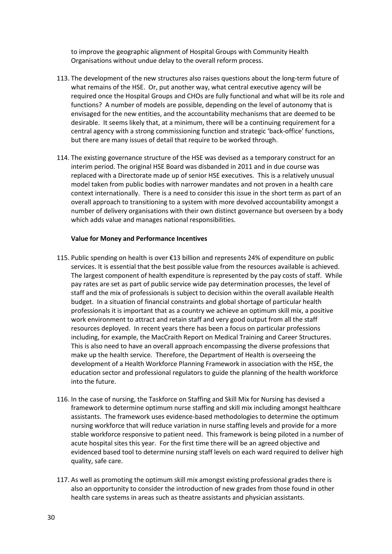to improve the geographic alignment of Hospital Groups with Community Health Organisations without undue delay to the overall reform process.

- 113. The development of the new structures also raises questions about the long-term future of what remains of the HSE. Or, put another way, what central executive agency will be required once the Hospital Groups and CHOs are fully functional and what will be its role and functions? A number of models are possible, depending on the level of autonomy that is envisaged for the new entities, and the accountability mechanisms that are deemed to be desirable. It seems likely that, at a minimum, there will be a continuing requirement for a central agency with a strong commissioning function and strategic 'back-office' functions, but there are many issues of detail that require to be worked through.
- 114. The existing governance structure of the HSE was devised as a temporary construct for an interim period. The original HSE Board was disbanded in 2011 and in due course was replaced with a Directorate made up of senior HSE executives. This is a relatively unusual model taken from public bodies with narrower mandates and not proven in a health care context internationally. There is a need to consider this issue in the short term as part of an overall approach to transitioning to a system with more devolved accountability amongst a number of delivery organisations with their own distinct governance but overseen by a body which adds value and manages national responsibilities.

#### **Value for Money and Performance Incentives**

- 115. Public spending on health is over €13 billion and represents 24% of expenditure on public services. It is essential that the best possible value from the resources available is achieved. The largest component of health expenditure is represented by the pay costs of staff. While pay rates are set as part of public service wide pay determination processes, the level of staff and the mix of professionals is subject to decision within the overall available Health budget. In a situation of financial constraints and global shortage of particular health professionals it is important that as a country we achieve an optimum skill mix, a positive work environment to attract and retain staff and very good output from all the staff resources deployed. In recent years there has been a focus on particular professions including, for example, the MacCraith Report on Medical Training and Career Structures. This is also need to have an overall approach encompassing the diverse professions that make up the health service. Therefore, the Department of Health is overseeing the development of a Health Workforce Planning Framework in association with the HSE, the education sector and professional regulators to guide the planning of the health workforce into the future.
- 116. In the case of nursing, the Taskforce on Staffing and Skill Mix for Nursing has devised a framework to determine optimum nurse staffing and skill mix including amongst healthcare assistants. The framework uses evidence-based methodologies to determine the optimum nursing workforce that will reduce variation in nurse staffing levels and provide for a more stable workforce responsive to patient need. This framework is being piloted in a number of acute hospital sites this year. For the first time there will be an agreed objective and evidenced based tool to determine nursing staff levels on each ward required to deliver high quality, safe care.
- 117. As well as promoting the optimum skill mix amongst existing professional grades there is also an opportunity to consider the introduction of new grades from those found in other health care systems in areas such as theatre assistants and physician assistants.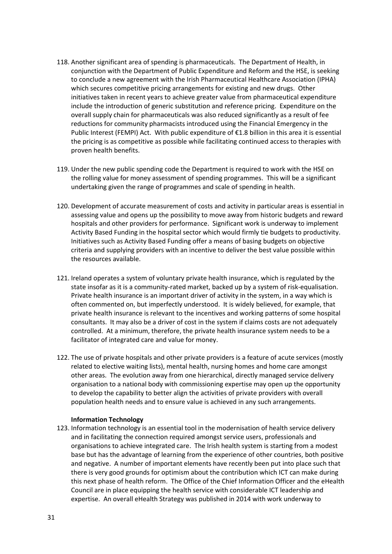- 118. Another significant area of spending is pharmaceuticals. The Department of Health, in conjunction with the Department of Public Expenditure and Reform and the HSE, is seeking to conclude a new agreement with the Irish Pharmaceutical Healthcare Association (IPHA) which secures competitive pricing arrangements for existing and new drugs. Other initiatives taken in recent years to achieve greater value from pharmaceutical expenditure include the introduction of generic substitution and reference pricing. Expenditure on the overall supply chain for pharmaceuticals was also reduced significantly as a result of fee reductions for community pharmacists introduced using the Financial Emergency in the Public Interest (FEMPI) Act. With public expenditure of €1.8 billion in this area it is essential the pricing is as competitive as possible while facilitating continued access to therapies with proven health benefits.
- 119. Under the new public spending code the Department is required to work with the HSE on the rolling value for money assessment of spending programmes. This will be a significant undertaking given the range of programmes and scale of spending in health.
- 120. Development of accurate measurement of costs and activity in particular areas is essential in assessing value and opens up the possibility to move away from historic budgets and reward hospitals and other providers for performance. Significant work is underway to implement Activity Based Funding in the hospital sector which would firmly tie budgets to productivity. Initiatives such as Activity Based Funding offer a means of basing budgets on objective criteria and supplying providers with an incentive to deliver the best value possible within the resources available.
- 121. Ireland operates a system of voluntary private health insurance, which is regulated by the state insofar as it is a community-rated market, backed up by a system of risk-equalisation. Private health insurance is an important driver of activity in the system, in a way which is often commented on, but imperfectly understood. It is widely believed, for example, that private health insurance is relevant to the incentives and working patterns of some hospital consultants. It may also be a driver of cost in the system if claims costs are not adequately controlled. At a minimum, therefore, the private health insurance system needs to be a facilitator of integrated care and value for money.
- 122. The use of private hospitals and other private providers is a feature of acute services (mostly related to elective waiting lists), mental health, nursing homes and home care amongst other areas. The evolution away from one hierarchical, directly managed service delivery organisation to a national body with commissioning expertise may open up the opportunity to develop the capability to better align the activities of private providers with overall population health needs and to ensure value is achieved in any such arrangements.

#### **Information Technology**

123. Information technology is an essential tool in the modernisation of health service delivery and in facilitating the connection required amongst service users, professionals and organisations to achieve integrated care. The Irish health system is starting from a modest base but has the advantage of learning from the experience of other countries, both positive and negative. A number of important elements have recently been put into place such that there is very good grounds for optimism about the contribution which ICT can make during this next phase of health reform. The Office of the Chief Information Officer and the eHealth Council are in place equipping the health service with considerable ICT leadership and expertise. An overall eHealth Strategy was published in 2014 with work underway to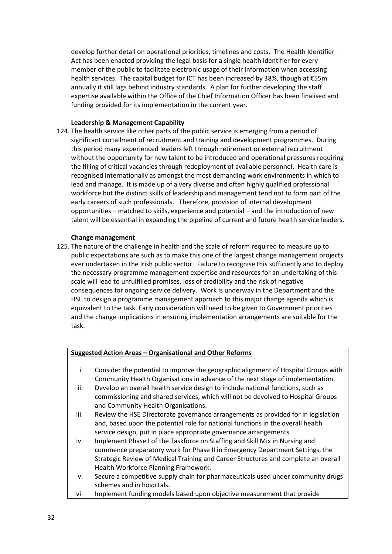develop further detail on operational priorities, timelines and costs. The Health Identifier Act has been enacted providing the legal basis for a single health identifier for every member of the public to facilitate electronic usage of their information when accessing health services. The capital budget for ICT has been increased by 38%, though at €55m annually it still lags behind industry standards. A plan for further developing the staff expertise available within the Office of the Chief Information Officer has been finalised and funding provided for its implementation in the current year.

#### **Leadership & Management Capability**

124. The health service like other parts of the public service is emerging from a period of significant curtailment of recruitment and training and development programmes. During this period many experienced leaders left through retirement or external recruitment without the opportunity for new talent to be introduced and operational pressures requiring the filling of critical vacancies through redeployment of available personnel. Health care is recognised internationally as amongst the most demanding work environments in which to lead and manage. It is made up of a very diverse and often highly qualified professional workforce but the distinct skills of leadership and management tend not to form part of the early careers of such professionals. Therefore, provision of internal development opportunities – matched to skills, experience and potential – and the introduction of new talent will be essential in expanding the pipeline of current and future health service leaders.

#### **Change management**

125. The nature of the challenge in health and the scale of reform required to measure up to public expectations are such as to make this one of the largest change management projects ever undertaken in the Irish public sector. Failure to recognise this sufficiently and to deploy the necessary programme management expertise and resources for an undertaking of this scale will lead to unfulfilled promises, loss of credibility and the risk of negative consequences for ongoing service delivery. Work is underway in the Department and the HSE to design a programme management approach to this major change agenda which is equivalent to the task. Early consideration will need to be given to Government priorities and the change implications in ensuring implementation arrangements are suitable for the task.

#### **Suggested Action Areas – Organisational and Other Reforms**

- i. Consider the potential to improve the geographic alignment of Hospital Groups with Community Health Organisations in advance of the next stage of implementation.
- ii. Develop an overall health service design to include national functions, such as commissioning and shared services, which will not be devolved to Hospital Groups and Community Health Organisations.
- iii. Review the HSE Directorate governance arrangements as provided for in legislation and, based upon the potential role for national functions in the overall health service design, put in place appropriate governance arrangements
- iv. Implement Phase I of the Taskforce on Staffing and Skill Mix in Nursing and commence preparatory work for Phase II in Emergency Department Settings, the Strategic Review of Medical Training and Career Structures and complete an overall Health Workforce Planning Framework.
- v. Secure a competitive supply chain for pharmaceuticals used under community drugs schemes and in hospitals.
- vi. Implement funding models based upon objective measurement that provide